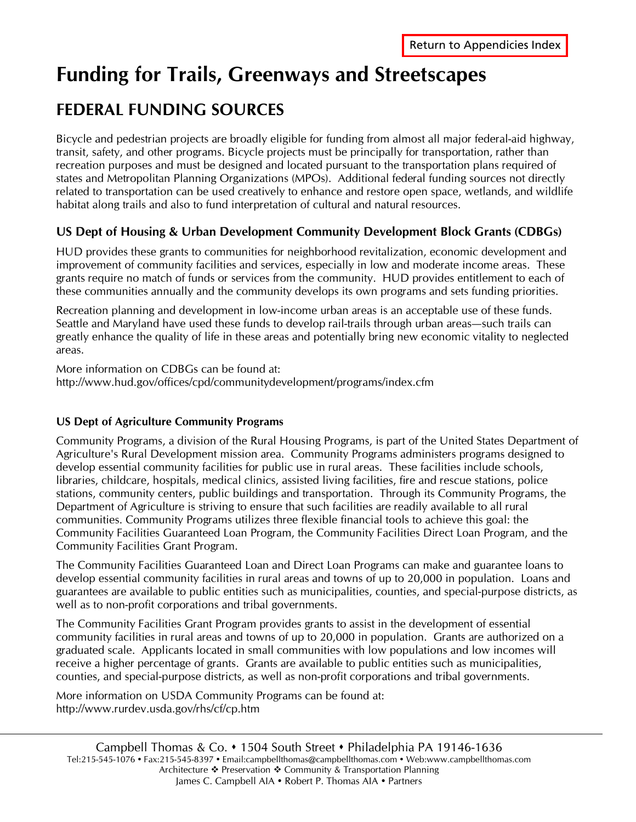# **Funding for Trails, Greenways and Streetscapes**

## **FEDERAL FUNDING SOURCES**

Bicycle and pedestrian projects are broadly eligible for funding from almost all major federal-aid highway, transit, safety, and other programs. Bicycle projects must be principally for transportation, rather than recreation purposes and must be designed and located pursuant to the transportation plans required of states and Metropolitan Planning Organizations (MPOs). Additional federal funding sources not directly related to transportation can be used creatively to enhance and restore open space, wetlands, and wildlife habitat along trails and also to fund interpretation of cultural and natural resources.

## **US Dept of Housing & Urban Development Community Development Block Grants (CDBGs)**

HUD provides these grants to communities for neighborhood revitalization, economic development and improvement of community facilities and services, especially in low and moderate income areas. These grants require no match of funds or services from the community. HUD provides entitlement to each of these communities annually and the community develops its own programs and sets funding priorities.

Recreation planning and development in low-income urban areas is an acceptable use of these funds. Seattle and Maryland have used these funds to develop rail-trails through urban areas—such trails can greatly enhance the quality of life in these areas and potentially bring new economic vitality to neglected areas.

More information on CDBGs can be found at: http://www.hud.gov/offices/cpd/communitydevelopment/programs/index.cfm

## **US Dept of Agriculture Community Programs**

Community Programs, a division of the Rural Housing Programs, is part of the United States Department of Agriculture's Rural Development mission area. Community Programs administers programs designed to develop essential community facilities for public use in rural areas. These facilities include schools, libraries, childcare, hospitals, medical clinics, assisted living facilities, fire and rescue stations, police stations, community centers, public buildings and transportation. Through its Community Programs, the Department of Agriculture is striving to ensure that such facilities are readily available to all rural communities. Community Programs utilizes three flexible financial tools to achieve this goal: the Community Facilities Guaranteed Loan Program, the Community Facilities Direct Loan Program, and the Community Facilities Grant Program.

The Community Facilities Guaranteed Loan and Direct Loan Programs can make and guarantee loans to develop essential community facilities in rural areas and towns of up to 20,000 in population. Loans and guarantees are available to public entities such as municipalities, counties, and special-purpose districts, as well as to non-profit corporations and tribal governments.

The Community Facilities Grant Program provides grants to assist in the development of essential community facilities in rural areas and towns of up to 20,000 in population. Grants are authorized on a graduated scale. Applicants located in small communities with low populations and low incomes will receive a higher percentage of grants. Grants are available to public entities such as municipalities, counties, and special-purpose districts, as well as non-profit corporations and tribal governments.

More information on USDA Community Programs can be found at: http://www.rurdev.usda.gov/rhs/cf/cp.htm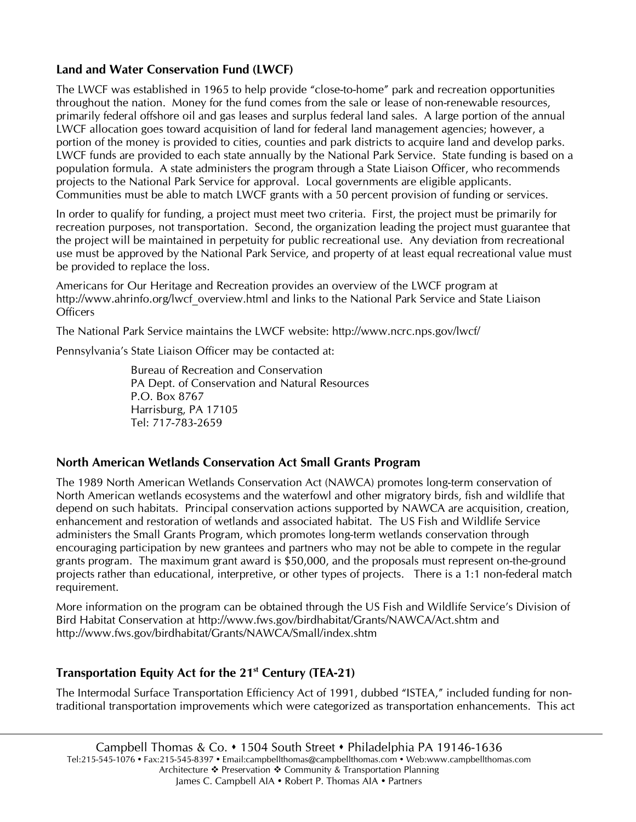## **Land and Water Conservation Fund (LWCF)**

The LWCF was established in 1965 to help provide "close-to-home" park and recreation opportunities throughout the nation. Money for the fund comes from the sale or lease of non-renewable resources, primarily federal offshore oil and gas leases and surplus federal land sales. A large portion of the annual LWCF allocation goes toward acquisition of land for federal land management agencies; however, a portion of the money is provided to cities, counties and park districts to acquire land and develop parks. LWCF funds are provided to each state annually by the National Park Service. State funding is based on a population formula. A state administers the program through a State Liaison Officer, who recommends projects to the National Park Service for approval. Local governments are eligible applicants. Communities must be able to match LWCF grants with a 50 percent provision of funding or services.

In order to qualify for funding, a project must meet two criteria. First, the project must be primarily for recreation purposes, not transportation. Second, the organization leading the project must guarantee that the project will be maintained in perpetuity for public recreational use. Any deviation from recreational use must be approved by the National Park Service, and property of at least equal recreational value must be provided to replace the loss.

Americans for Our Heritage and Recreation provides an overview of the LWCF program at http://www.ahrinfo.org/lwcf\_overview.html and links to the National Park Service and State Liaison **Officers** 

The National Park Service maintains the LWCF website: http://www.ncrc.nps.gov/lwcf/

Pennsylvania's State Liaison Officer may be contacted at:

Bureau of Recreation and Conservation PA Dept. of Conservation and Natural Resources P.O. Box 8767 Harrisburg, PA 17105 Tel: 717-783-2659

#### **North American Wetlands Conservation Act Small Grants Program**

The 1989 North American Wetlands Conservation Act (NAWCA) promotes long-term conservation of North American wetlands ecosystems and the waterfowl and other migratory birds, fish and wildlife that depend on such habitats. Principal conservation actions supported by NAWCA are acquisition, creation, enhancement and restoration of wetlands and associated habitat. The US Fish and Wildlife Service administers the Small Grants Program, which promotes long-term wetlands conservation through encouraging participation by new grantees and partners who may not be able to compete in the regular grants program. The maximum grant award is \$50,000, and the proposals must represent on-the-ground projects rather than educational, interpretive, or other types of projects. There is a 1:1 non-federal match requirement.

More information on the program can be obtained through the US Fish and Wildlife Service's Division of Bird Habitat Conservation at http://www.fws.gov/birdhabitat/Grants/NAWCA/Act.shtm and http://www.fws.gov/birdhabitat/Grants/NAWCA/Small/index.shtm

## **Transportation Equity Act for the 21st Century (TEA-21)**

The Intermodal Surface Transportation Efficiency Act of 1991, dubbed "ISTEA," included funding for nontraditional transportation improvements which were categorized as transportation enhancements. This act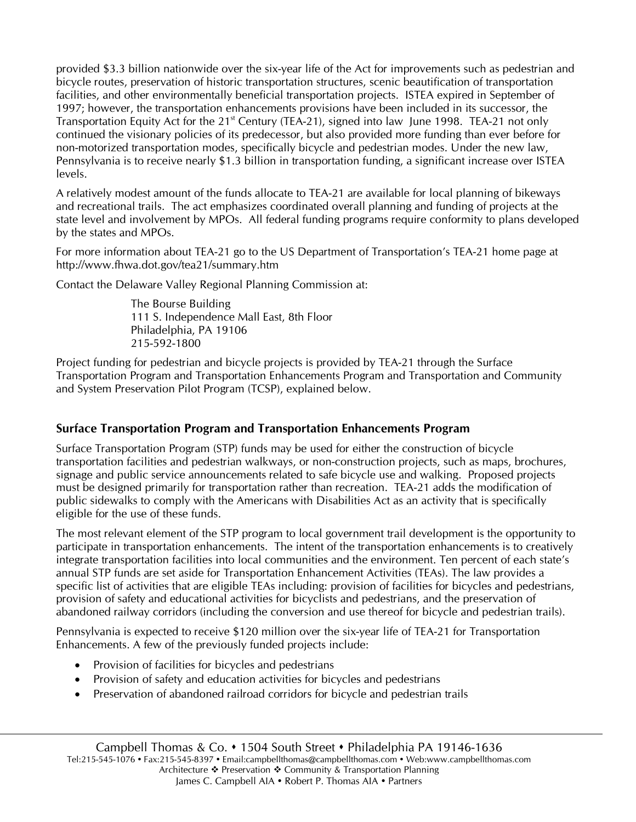provided \$3.3 billion nationwide over the six-year life of the Act for improvements such as pedestrian and bicycle routes, preservation of historic transportation structures, scenic beautification of transportation facilities, and other environmentally beneficial transportation projects. ISTEA expired in September of 1997; however, the transportation enhancements provisions have been included in its successor, the Transportation Equity Act for the  $21<sup>st</sup>$  Century (TEA-21), signed into law June 1998. TEA-21 not only continued the visionary policies of its predecessor, but also provided more funding than ever before for non-motorized transportation modes, specifically bicycle and pedestrian modes. Under the new law, Pennsylvania is to receive nearly \$1.3 billion in transportation funding, a significant increase over ISTEA levels.

A relatively modest amount of the funds allocate to TEA-21 are available for local planning of bikeways and recreational trails. The act emphasizes coordinated overall planning and funding of projects at the state level and involvement by MPOs. All federal funding programs require conformity to plans developed by the states and MPOs.

For more information about TEA-21 go to the US Department of Transportation's TEA-21 home page at http://www.fhwa.dot.gov/tea21/summary.htm

Contact the Delaware Valley Regional Planning Commission at:

The Bourse Building 111 S. Independence Mall East, 8th Floor Philadelphia, PA 19106 215-592-1800

Project funding for pedestrian and bicycle projects is provided by TEA-21 through the Surface Transportation Program and Transportation Enhancements Program and Transportation and Community and System Preservation Pilot Program (TCSP), explained below.

## **Surface Transportation Program and Transportation Enhancements Program**

Surface Transportation Program (STP) funds may be used for either the construction of bicycle transportation facilities and pedestrian walkways, or non-construction projects, such as maps, brochures, signage and public service announcements related to safe bicycle use and walking. Proposed projects must be designed primarily for transportation rather than recreation. TEA-21 adds the modification of public sidewalks to comply with the Americans with Disabilities Act as an activity that is specifically eligible for the use of these funds.

The most relevant element of the STP program to local government trail development is the opportunity to participate in transportation enhancements. The intent of the transportation enhancements is to creatively integrate transportation facilities into local communities and the environment. Ten percent of each state's annual STP funds are set aside for Transportation Enhancement Activities (TEAs). The law provides a specific list of activities that are eligible TEAs including: provision of facilities for bicycles and pedestrians, provision of safety and educational activities for bicyclists and pedestrians, and the preservation of abandoned railway corridors (including the conversion and use thereof for bicycle and pedestrian trails).

Pennsylvania is expected to receive \$120 million over the six-year life of TEA-21 for Transportation Enhancements. A few of the previously funded projects include:

- Provision of facilities for bicycles and pedestrians
- Provision of safety and education activities for bicycles and pedestrians
- Preservation of abandoned railroad corridors for bicycle and pedestrian trails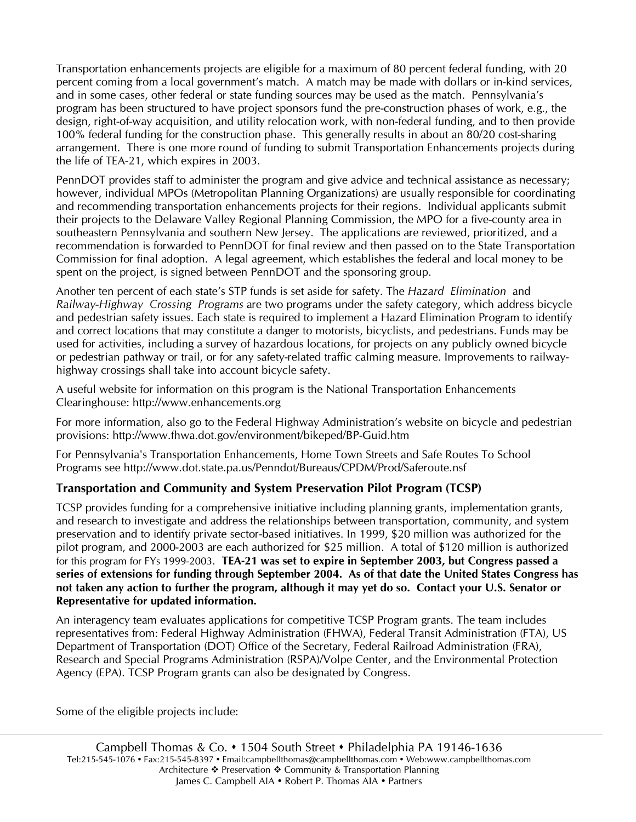Transportation enhancements projects are eligible for a maximum of 80 percent federal funding, with 20 percent coming from a local government's match. A match may be made with dollars or in-kind services, and in some cases, other federal or state funding sources may be used as the match. Pennsylvania's program has been structured to have project sponsors fund the pre-construction phases of work, e.g., the design, right-of-way acquisition, and utility relocation work, with non-federal funding, and to then provide 100% federal funding for the construction phase. This generally results in about an 80/20 cost-sharing arrangement. There is one more round of funding to submit Transportation Enhancements projects during the life of TEA-21, which expires in 2003.

PennDOT provides staff to administer the program and give advice and technical assistance as necessary; however, individual MPOs (Metropolitan Planning Organizations) are usually responsible for coordinating and recommending transportation enhancements projects for their regions. Individual applicants submit their projects to the Delaware Valley Regional Planning Commission, the MPO for a five-county area in southeastern Pennsylvania and southern New Jersey. The applications are reviewed, prioritized, and a recommendation is forwarded to PennDOT for final review and then passed on to the State Transportation Commission for final adoption. A legal agreement, which establishes the federal and local money to be spent on the project, is signed between PennDOT and the sponsoring group.

Another ten percent of each state's STP funds is set aside for safety. The *Hazard Elimination* and *Railway-Highway Crossing Programs* are two programs under the safety category, which address bicycle and pedestrian safety issues. Each state is required to implement a Hazard Elimination Program to identify and correct locations that may constitute a danger to motorists, bicyclists, and pedestrians. Funds may be used for activities, including a survey of hazardous locations, for projects on any publicly owned bicycle or pedestrian pathway or trail, or for any safety-related traffic calming measure. Improvements to railwayhighway crossings shall take into account bicycle safety.

A useful website for information on this program is the National Transportation Enhancements Clearinghouse: http://www.enhancements.org

For more information, also go to the Federal Highway Administration's website on bicycle and pedestrian provisions: http://www.fhwa.dot.gov/environment/bikeped/BP-Guid.htm

For Pennsylvania's Transportation Enhancements, Home Town Streets and Safe Routes To School Programs see http://www.dot.state.pa.us/Penndot/Bureaus/CPDM/Prod/Saferoute.nsf

## **Transportation and Community and System Preservation Pilot Program (TCSP)**

TCSP provides funding for a comprehensive initiative including planning grants, implementation grants, and research to investigate and address the relationships between transportation, community, and system preservation and to identify private sector-based initiatives. In 1999, \$20 million was authorized for the pilot program, and 2000-2003 are each authorized for \$25 million. A total of \$120 million is authorized for this program for FYs 1999-2003. **TEA-21 was set to expire in September 2003, but Congress passed a series of extensions for funding through September 2004. As of that date the United States Congress has not taken any action to further the program, although it may yet do so. Contact your U.S. Senator or Representative for updated information.**

An interagency team evaluates applications for competitive TCSP Program grants. The team includes representatives from: Federal Highway Administration (FHWA), Federal Transit Administration (FTA), US Department of Transportation (DOT) Office of the Secretary, Federal Railroad Administration (FRA), Research and Special Programs Administration (RSPA)/Volpe Center, and the Environmental Protection Agency (EPA). TCSP Program grants can also be designated by Congress.

Some of the eligible projects include: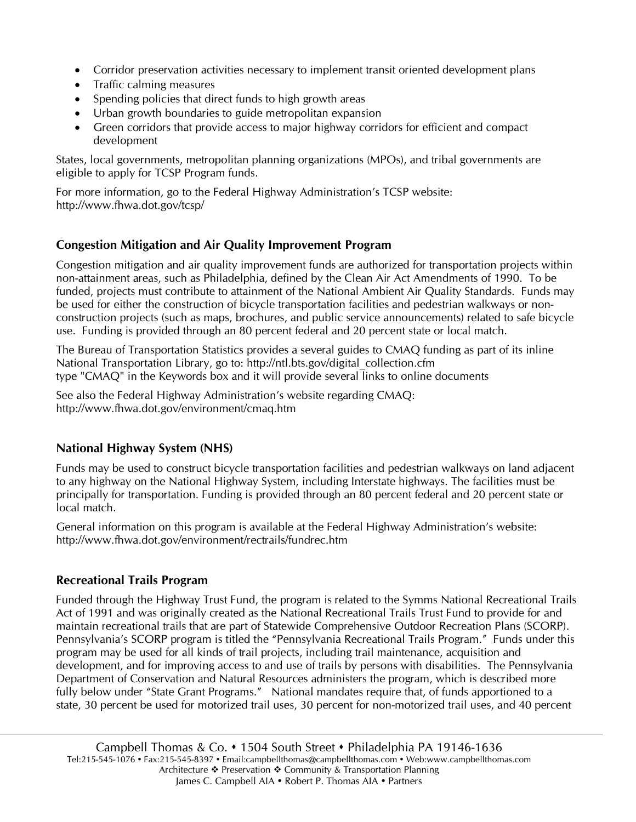- Corridor preservation activities necessary to implement transit oriented development plans
- Traffic calming measures
- Spending policies that direct funds to high growth areas
- Urban growth boundaries to guide metropolitan expansion
- Green corridors that provide access to major highway corridors for efficient and compact development

States, local governments, metropolitan planning organizations (MPOs), and tribal governments are eligible to apply for TCSP Program funds.

For more information, go to the Federal Highway Administration's TCSP website: http://www.fhwa.dot.gov/tcsp/

## **Congestion Mitigation and Air Quality Improvement Program**

Congestion mitigation and air quality improvement funds are authorized for transportation projects within non-attainment areas, such as Philadelphia, defined by the Clean Air Act Amendments of 1990. To be funded, projects must contribute to attainment of the National Ambient Air Quality Standards. Funds may be used for either the construction of bicycle transportation facilities and pedestrian walkways or nonconstruction projects (such as maps, brochures, and public service announcements) related to safe bicycle use. Funding is provided through an 80 percent federal and 20 percent state or local match.

The Bureau of Transportation Statistics provides a several guides to CMAQ funding as part of its inline National Transportation Library, go to: http://ntl.bts.gov/digital\_collection.cfm type "CMAQ" in the Keywords box and it will provide several links to online documents

See also the Federal Highway Administration's website regarding CMAQ: http://www.fhwa.dot.gov/environment/cmaq.htm

## **National Highway System (NHS)**

Funds may be used to construct bicycle transportation facilities and pedestrian walkways on land adjacent to any highway on the National Highway System, including Interstate highways. The facilities must be principally for transportation. Funding is provided through an 80 percent federal and 20 percent state or local match.

General information on this program is available at the Federal Highway Administration's website: http://www.fhwa.dot.gov/environment/rectrails/fundrec.htm

## **Recreational Trails Program**

Funded through the Highway Trust Fund, the program is related to the Symms National Recreational Trails Act of 1991 and was originally created as the National Recreational Trails Trust Fund to provide for and maintain recreational trails that are part of Statewide Comprehensive Outdoor Recreation Plans (SCORP). Pennsylvania's SCORP program is titled the "Pennsylvania Recreational Trails Program." Funds under this program may be used for all kinds of trail projects, including trail maintenance, acquisition and development, and for improving access to and use of trails by persons with disabilities. The Pennsylvania Department of Conservation and Natural Resources administers the program, which is described more fully below under "State Grant Programs." National mandates require that, of funds apportioned to a state, 30 percent be used for motorized trail uses, 30 percent for non-motorized trail uses, and 40 percent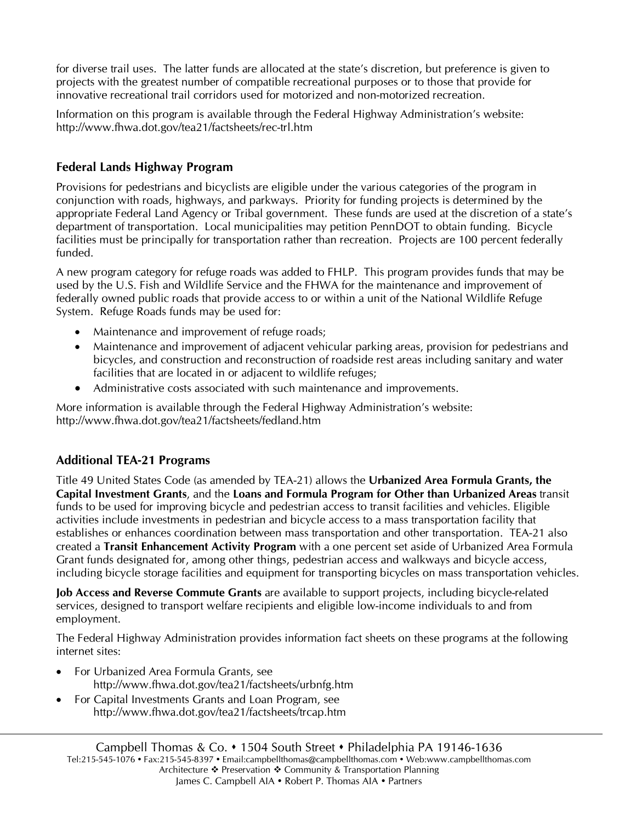for diverse trail uses. The latter funds are allocated at the state's discretion, but preference is given to projects with the greatest number of compatible recreational purposes or to those that provide for innovative recreational trail corridors used for motorized and non-motorized recreation.

Information on this program is available through the Federal Highway Administration's website: http://www.fhwa.dot.gov/tea21/factsheets/rec-trl.htm

## **Federal Lands Highway Program**

Provisions for pedestrians and bicyclists are eligible under the various categories of the program in conjunction with roads, highways, and parkways. Priority for funding projects is determined by the appropriate Federal Land Agency or Tribal government. These funds are used at the discretion of a state's department of transportation. Local municipalities may petition PennDOT to obtain funding. Bicycle facilities must be principally for transportation rather than recreation. Projects are 100 percent federally funded.

A new program category for refuge roads was added to FHLP. This program provides funds that may be used by the U.S. Fish and Wildlife Service and the FHWA for the maintenance and improvement of federally owned public roads that provide access to or within a unit of the National Wildlife Refuge System. Refuge Roads funds may be used for:

- Maintenance and improvement of refuge roads;
- Maintenance and improvement of adjacent vehicular parking areas, provision for pedestrians and bicycles, and construction and reconstruction of roadside rest areas including sanitary and water facilities that are located in or adjacent to wildlife refuges;
- Administrative costs associated with such maintenance and improvements.

More information is available through the Federal Highway Administration's website: http://www.fhwa.dot.gov/tea21/factsheets/fedland.htm

## **Additional TEA-21 Programs**

Title 49 United States Code (as amended by TEA-21) allows the **Urbanized Area Formula Grants, the Capital Investment Grants**, and the **Loans and Formula Program for Other than Urbanized Areas** transit funds to be used for improving bicycle and pedestrian access to transit facilities and vehicles. Eligible activities include investments in pedestrian and bicycle access to a mass transportation facility that establishes or enhances coordination between mass transportation and other transportation. TEA-21 also created a **Transit Enhancement Activity Program** with a one percent set aside of Urbanized Area Formula Grant funds designated for, among other things, pedestrian access and walkways and bicycle access, including bicycle storage facilities and equipment for transporting bicycles on mass transportation vehicles.

**Job Access and Reverse Commute Grants** are available to support projects, including bicycle-related services, designed to transport welfare recipients and eligible low-income individuals to and from employment.

The Federal Highway Administration provides information fact sheets on these programs at the following internet sites:

- For Urbanized Area Formula Grants, see http://www.fhwa.dot.gov/tea21/factsheets/urbnfg.htm
- For Capital Investments Grants and Loan Program, see http://www.fhwa.dot.gov/tea21/factsheets/trcap.htm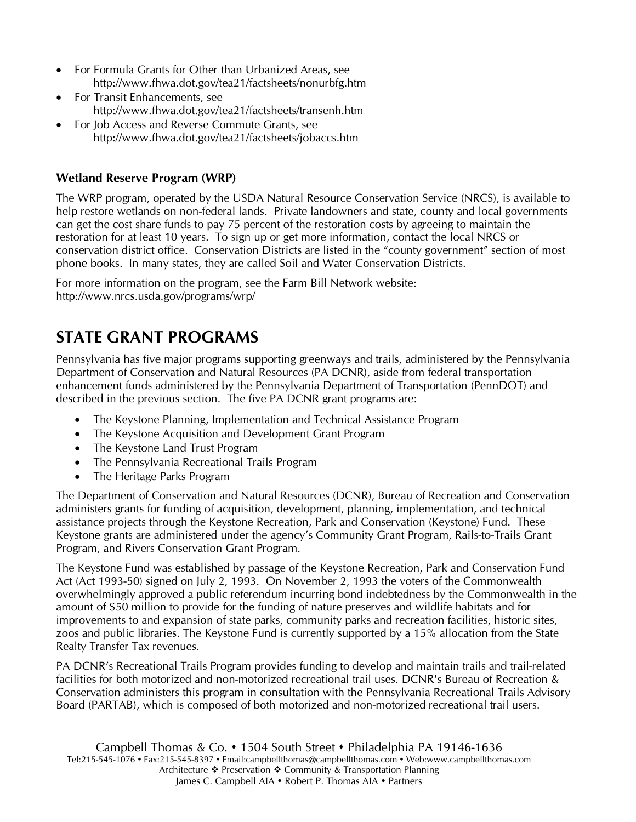- For Formula Grants for Other than Urbanized Areas, see http://www.fhwa.dot.gov/tea21/factsheets/nonurbfg.htm
- For Transit Enhancements, see http://www.fhwa.dot.gov/tea21/factsheets/transenh.htm
- For Job Access and Reverse Commute Grants, see http://www.fhwa.dot.gov/tea21/factsheets/jobaccs.htm

## **Wetland Reserve Program (WRP)**

The WRP program, operated by the USDA Natural Resource Conservation Service (NRCS), is available to help restore wetlands on non-federal lands. Private landowners and state, county and local governments can get the cost share funds to pay 75 percent of the restoration costs by agreeing to maintain the restoration for at least 10 years. To sign up or get more information, contact the local NRCS or conservation district office. Conservation Districts are listed in the "county government" section of most phone books. In many states, they are called Soil and Water Conservation Districts.

For more information on the program, see the Farm Bill Network website: http://www.nrcs.usda.gov/programs/wrp/

## **STATE GRANT PROGRAMS**

Pennsylvania has five major programs supporting greenways and trails, administered by the Pennsylvania Department of Conservation and Natural Resources (PA DCNR), aside from federal transportation enhancement funds administered by the Pennsylvania Department of Transportation (PennDOT) and described in the previous section. The five PA DCNR grant programs are:

- The Keystone Planning, Implementation and Technical Assistance Program
- The Keystone Acquisition and Development Grant Program
- The Keystone Land Trust Program
- The Pennsylvania Recreational Trails Program
- The Heritage Parks Program

The Department of Conservation and Natural Resources (DCNR), Bureau of Recreation and Conservation administers grants for funding of acquisition, development, planning, implementation, and technical assistance projects through the Keystone Recreation, Park and Conservation (Keystone) Fund. These Keystone grants are administered under the agency's Community Grant Program, Rails-to-Trails Grant Program, and Rivers Conservation Grant Program.

The Keystone Fund was established by passage of the Keystone Recreation, Park and Conservation Fund Act (Act 1993-50) signed on July 2, 1993. On November 2, 1993 the voters of the Commonwealth overwhelmingly approved a public referendum incurring bond indebtedness by the Commonwealth in the amount of \$50 million to provide for the funding of nature preserves and wildlife habitats and for improvements to and expansion of state parks, community parks and recreation facilities, historic sites, zoos and public libraries. The Keystone Fund is currently supported by a 15% allocation from the State Realty Transfer Tax revenues.

PA DCNR's Recreational Trails Program provides funding to develop and maintain trails and trail-related facilities for both motorized and non-motorized recreational trail uses. DCNR's Bureau of Recreation & Conservation administers this program in consultation with the Pennsylvania Recreational Trails Advisory Board (PARTAB), which is composed of both motorized and non-motorized recreational trail users.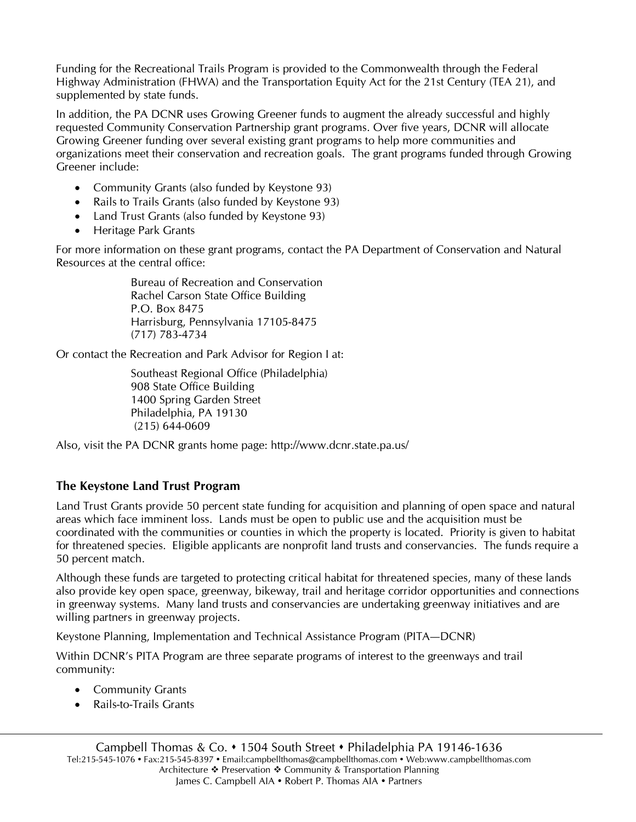Funding for the Recreational Trails Program is provided to the Commonwealth through the Federal Highway Administration (FHWA) and the Transportation Equity Act for the 21st Century (TEA 21), and supplemented by state funds.

In addition, the PA DCNR uses Growing Greener funds to augment the already successful and highly requested Community Conservation Partnership grant programs. Over five years, DCNR will allocate Growing Greener funding over several existing grant programs to help more communities and organizations meet their conservation and recreation goals. The grant programs funded through Growing Greener include:

- Community Grants (also funded by Keystone 93)
- Rails to Trails Grants (also funded by Keystone 93)
- Land Trust Grants (also funded by Keystone 93)
- Heritage Park Grants

For more information on these grant programs, contact the PA Department of Conservation and Natural Resources at the central office:

> Bureau of Recreation and Conservation Rachel Carson State Office Building P.O. Box 8475 Harrisburg, Pennsylvania 17105-8475 (717) 783-4734

Or contact the Recreation and Park Advisor for Region I at:

Southeast Regional Office (Philadelphia) 908 State Office Building 1400 Spring Garden Street Philadelphia, PA 19130 (215) 644-0609

Also, visit the PA DCNR grants home page: http://www.dcnr.state.pa.us/

## **The Keystone Land Trust Program**

Land Trust Grants provide 50 percent state funding for acquisition and planning of open space and natural areas which face imminent loss. Lands must be open to public use and the acquisition must be coordinated with the communities or counties in which the property is located. Priority is given to habitat for threatened species. Eligible applicants are nonprofit land trusts and conservancies. The funds require a 50 percent match.

Although these funds are targeted to protecting critical habitat for threatened species, many of these lands also provide key open space, greenway, bikeway, trail and heritage corridor opportunities and connections in greenway systems. Many land trusts and conservancies are undertaking greenway initiatives and are willing partners in greenway projects.

Keystone Planning, Implementation and Technical Assistance Program (PITA—DCNR)

Within DCNR's PITA Program are three separate programs of interest to the greenways and trail community:

- Community Grants
- Rails-to-Trails Grants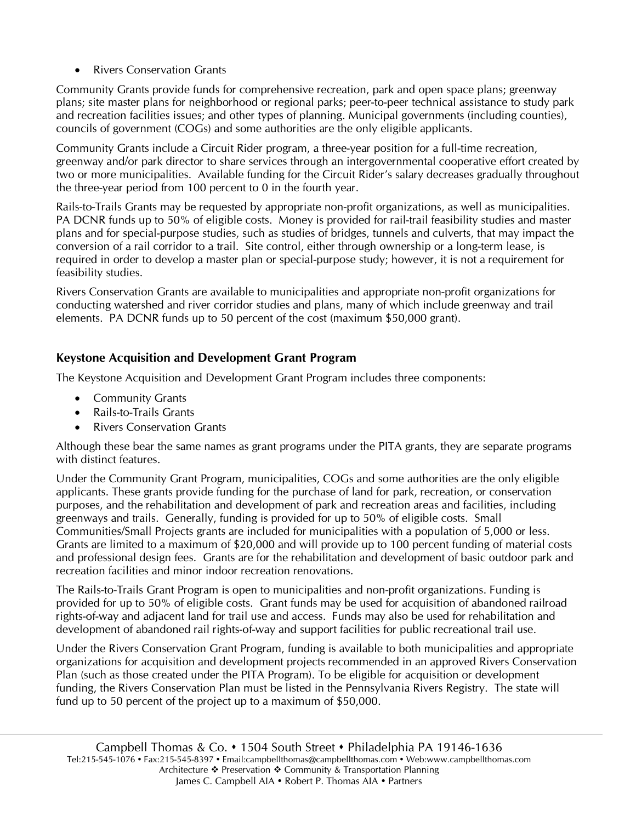• Rivers Conservation Grants

Community Grants provide funds for comprehensive recreation, park and open space plans; greenway plans; site master plans for neighborhood or regional parks; peer-to-peer technical assistance to study park and recreation facilities issues; and other types of planning. Municipal governments (including counties), councils of government (COGs) and some authorities are the only eligible applicants.

Community Grants include a Circuit Rider program, a three-year position for a full-time recreation, greenway and/or park director to share services through an intergovernmental cooperative effort created by two or more municipalities. Available funding for the Circuit Rider's salary decreases gradually throughout the three-year period from 100 percent to 0 in the fourth year.

Rails-to-Trails Grants may be requested by appropriate non-profit organizations, as well as municipalities. PA DCNR funds up to 50% of eligible costs. Money is provided for rail-trail feasibility studies and master plans and for special-purpose studies, such as studies of bridges, tunnels and culverts, that may impact the conversion of a rail corridor to a trail. Site control, either through ownership or a long-term lease, is required in order to develop a master plan or special-purpose study; however, it is not a requirement for feasibility studies.

Rivers Conservation Grants are available to municipalities and appropriate non-profit organizations for conducting watershed and river corridor studies and plans, many of which include greenway and trail elements. PA DCNR funds up to 50 percent of the cost (maximum \$50,000 grant).

## **Keystone Acquisition and Development Grant Program**

The Keystone Acquisition and Development Grant Program includes three components:

- **Community Grants**
- Rails-to-Trails Grants
- Rivers Conservation Grants

Although these bear the same names as grant programs under the PITA grants, they are separate programs with distinct features.

Under the Community Grant Program, municipalities, COGs and some authorities are the only eligible applicants. These grants provide funding for the purchase of land for park, recreation, or conservation purposes, and the rehabilitation and development of park and recreation areas and facilities, including greenways and trails. Generally, funding is provided for up to 50% of eligible costs. Small Communities/Small Projects grants are included for municipalities with a population of 5,000 or less. Grants are limited to a maximum of \$20,000 and will provide up to 100 percent funding of material costs and professional design fees. Grants are for the rehabilitation and development of basic outdoor park and recreation facilities and minor indoor recreation renovations.

The Rails-to-Trails Grant Program is open to municipalities and non-profit organizations. Funding is provided for up to 50% of eligible costs. Grant funds may be used for acquisition of abandoned railroad rights-of-way and adjacent land for trail use and access. Funds may also be used for rehabilitation and development of abandoned rail rights-of-way and support facilities for public recreational trail use.

Under the Rivers Conservation Grant Program, funding is available to both municipalities and appropriate organizations for acquisition and development projects recommended in an approved Rivers Conservation Plan (such as those created under the PITA Program). To be eligible for acquisition or development funding, the Rivers Conservation Plan must be listed in the Pennsylvania Rivers Registry. The state will fund up to 50 percent of the project up to a maximum of \$50,000.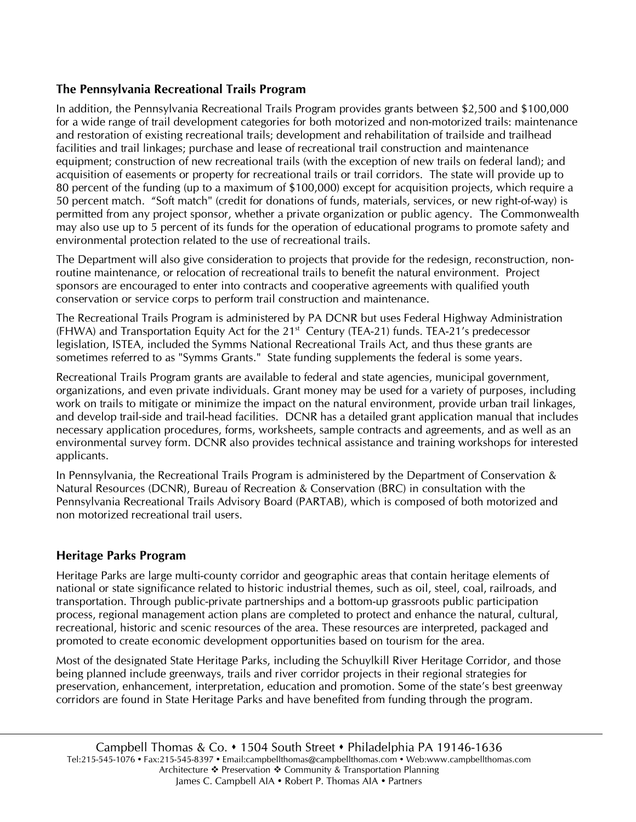## **The Pennsylvania Recreational Trails Program**

In addition, the Pennsylvania Recreational Trails Program provides grants between \$2,500 and \$100,000 for a wide range of trail development categories for both motorized and non-motorized trails: maintenance and restoration of existing recreational trails; development and rehabilitation of trailside and trailhead facilities and trail linkages; purchase and lease of recreational trail construction and maintenance equipment; construction of new recreational trails (with the exception of new trails on federal land); and acquisition of easements or property for recreational trails or trail corridors. The state will provide up to 80 percent of the funding (up to a maximum of \$100,000) except for acquisition projects, which require a 50 percent match. "Soft match" (credit for donations of funds, materials, services, or new right-of-way) is permitted from any project sponsor, whether a private organization or public agency. The Commonwealth may also use up to 5 percent of its funds for the operation of educational programs to promote safety and environmental protection related to the use of recreational trails.

The Department will also give consideration to projects that provide for the redesign, reconstruction, nonroutine maintenance, or relocation of recreational trails to benefit the natural environment. Project sponsors are encouraged to enter into contracts and cooperative agreements with qualified youth conservation or service corps to perform trail construction and maintenance.

The Recreational Trails Program is administered by PA DCNR but uses Federal Highway Administration (FHWA) and Transportation Equity Act for the  $21<sup>st</sup>$  Century (TEA-21) funds. TEA-21's predecessor legislation, ISTEA, included the Symms National Recreational Trails Act, and thus these grants are sometimes referred to as "Symms Grants." State funding supplements the federal is some years.

Recreational Trails Program grants are available to federal and state agencies, municipal government, organizations, and even private individuals. Grant money may be used for a variety of purposes, including work on trails to mitigate or minimize the impact on the natural environment, provide urban trail linkages, and develop trail-side and trail-head facilities. DCNR has a detailed grant application manual that includes necessary application procedures, forms, worksheets, sample contracts and agreements, and as well as an environmental survey form. DCNR also provides technical assistance and training workshops for interested applicants.

In Pennsylvania, the Recreational Trails Program is administered by the Department of Conservation & Natural Resources (DCNR), Bureau of Recreation & Conservation (BRC) in consultation with the Pennsylvania Recreational Trails Advisory Board (PARTAB), which is composed of both motorized and non motorized recreational trail users.

## **Heritage Parks Program**

Heritage Parks are large multi-county corridor and geographic areas that contain heritage elements of national or state significance related to historic industrial themes, such as oil, steel, coal, railroads, and transportation. Through public-private partnerships and a bottom-up grassroots public participation process, regional management action plans are completed to protect and enhance the natural, cultural, recreational, historic and scenic resources of the area. These resources are interpreted, packaged and promoted to create economic development opportunities based on tourism for the area.

Most of the designated State Heritage Parks, including the Schuylkill River Heritage Corridor, and those being planned include greenways, trails and river corridor projects in their regional strategies for preservation, enhancement, interpretation, education and promotion. Some of the state's best greenway corridors are found in State Heritage Parks and have benefited from funding through the program.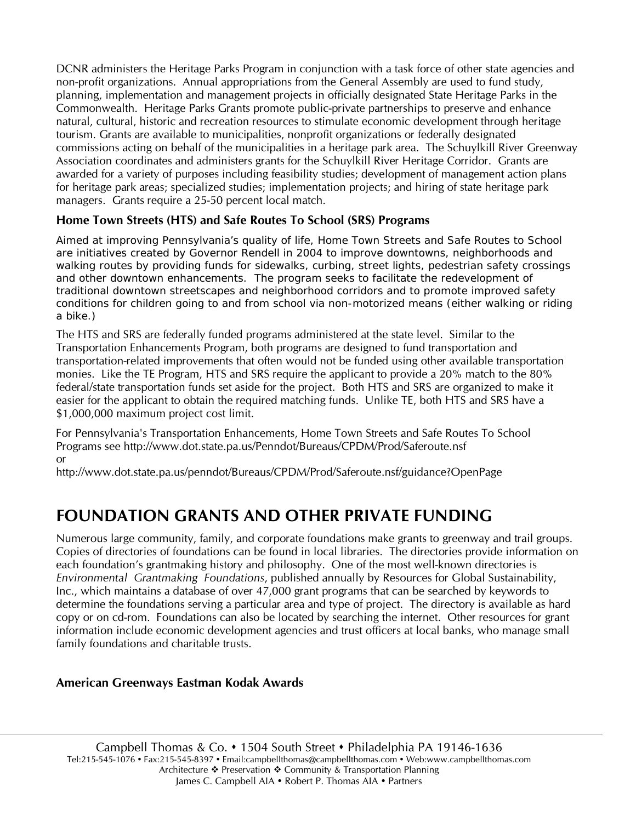DCNR administers the Heritage Parks Program in conjunction with a task force of other state agencies and non-profit organizations. Annual appropriations from the General Assembly are used to fund study, planning, implementation and management projects in officially designated State Heritage Parks in the Commonwealth. Heritage Parks Grants promote public-private partnerships to preserve and enhance natural, cultural, historic and recreation resources to stimulate economic development through heritage tourism. Grants are available to municipalities, nonprofit organizations or federally designated commissions acting on behalf of the municipalities in a heritage park area. The Schuylkill River Greenway Association coordinates and administers grants for the Schuylkill River Heritage Corridor. Grants are awarded for a variety of purposes including feasibility studies; development of management action plans for heritage park areas; specialized studies; implementation projects; and hiring of state heritage park managers. Grants require a 25-50 percent local match.

## **Home Town Streets (HTS) and Safe Routes To School (SRS) Programs**

Aimed at improving Pennsylvania's quality of life, Home Town Streets and Safe Routes to School are initiatives created by Governor Rendell in 2004 to improve downtowns, neighborhoods and walking routes by providing funds for sidewalks, curbing, street lights, pedestrian safety crossings and other downtown enhancements. The program seeks to facilitate the redevelopment of traditional downtown streetscapes and neighborhood corridors and to promote improved safety conditions for children going to and from school via non-motorized means (either walking or riding a bike.)

The HTS and SRS are federally funded programs administered at the state level. Similar to the Transportation Enhancements Program, both programs are designed to fund transportation and transportation-related improvements that often would not be funded using other available transportation monies. Like the TE Program, HTS and SRS require the applicant to provide a 20% match to the 80% federal/state transportation funds set aside for the project. Both HTS and SRS are organized to make it easier for the applicant to obtain the required matching funds. Unlike TE, both HTS and SRS have a \$1,000,000 maximum project cost limit.

For Pennsylvania's Transportation Enhancements, Home Town Streets and Safe Routes To School Programs see http://www.dot.state.pa.us/Penndot/Bureaus/CPDM/Prod/Saferoute.nsf or

http://www.dot.state.pa.us/penndot/Bureaus/CPDM/Prod/Saferoute.nsf/guidance?OpenPage

## **FOUNDATION GRANTS AND OTHER PRIVATE FUNDING**

Numerous large community, family, and corporate foundations make grants to greenway and trail groups. Copies of directories of foundations can be found in local libraries. The directories provide information on each foundation's grantmaking history and philosophy. One of the most well-known directories is *Environmental Grantmaking Foundations*, published annually by Resources for Global Sustainability, Inc., which maintains a database of over 47,000 grant programs that can be searched by keywords to determine the foundations serving a particular area and type of project. The directory is available as hard copy or on cd-rom. Foundations can also be located by searching the internet. Other resources for grant information include economic development agencies and trust officers at local banks, who manage small family foundations and charitable trusts.

## **American Greenways Eastman Kodak Awards**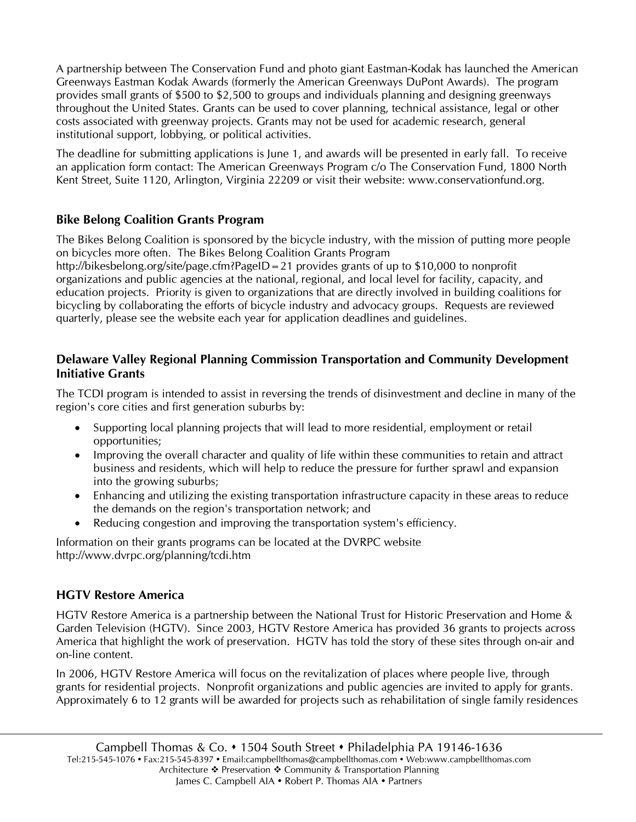A partnership between The Conservation Fund and photo giant Eastman-Kodak has launched the American Greenways Eastman Kodak Awards (formerly the American Greenways DuPont Awards). The program provides small grants of \$500 to \$2,500 to groups and individuals planning and designing greenways throughout the United States. Grants can be used to cover planning, technical assistance, legal or other costs associated with greenway projects. Grants may not be used for academic research, general institutional support, lobbying, or political activities.

The deadline for submitting applications is June 1, and awards will be presented in early fall. To receive an application form contact: The American Greenways Program c/o The Conservation Fund, 1800 North Kent Street, Suite 1120, Arlington, Virginia 22209 or visit their website: www.conservationfund.org.

## **Bike Belong Coalition Grants Program**

The Bikes Belong Coalition is sponsored by the bicycle industry, with the mission of putting more people on bicycles more often. The Bikes Belong Coalition Grants Program http://bikesbelong.org/site/page.cfm?PageID=21 provides grants of up to \$10,000 to nonprofit organizations and public agencies at the national, regional, and local level for facility, capacity, and education projects. Priority is given to organizations that are directly involved in building coalitions for bicycling by collaborating the efforts of bicycle industry and advocacy groups. Requests are reviewed

quarterly, please see the website each year for application deadlines and guidelines.

## **Delaware Valley Regional Planning Commission Transportation and Community Development Initiative Grants**

The TCDI program is intended to assist in reversing the trends of disinvestment and decline in many of the region's core cities and first generation suburbs by:

- Supporting local planning projects that will lead to more residential, employment or retail opportunities;
- Improving the overall character and quality of life within these communities to retain and attract business and residents, which will help to reduce the pressure for further sprawl and expansion into the growing suburbs;
- Enhancing and utilizing the existing transportation infrastructure capacity in these areas to reduce the demands on the region's transportation network; and
- Reducing congestion and improving the transportation system's efficiency.

Information on their grants programs can be located at the DVRPC website http://www.dvrpc.org/planning/tcdi.htm

## **HGTV Restore America**

HGTV Restore America is a partnership between the National Trust for Historic Preservation and Home & Garden Television (HGTV). Since 2003, HGTV Restore America has provided 36 grants to projects across America that highlight the work of preservation. HGTV has told the story of these sites through on-air and on-line content.

In 2006, HGTV Restore America will focus on the revitalization of places where people live, through grants for residential projects. Nonprofit organizations and public agencies are invited to apply for grants. Approximately 6 to 12 grants will be awarded for projects such as rehabilitation of single family residences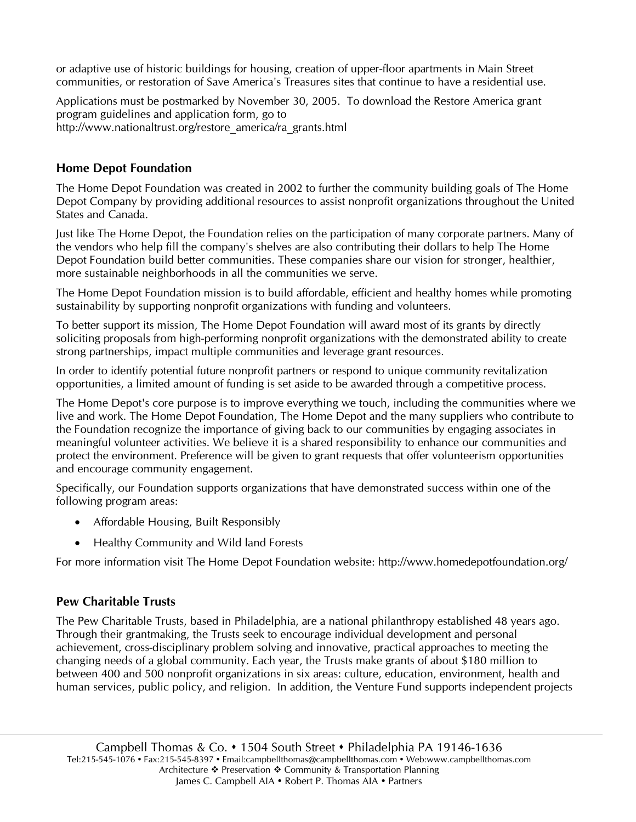or adaptive use of historic buildings for housing, creation of upper-floor apartments in Main Street communities, or restoration of Save America's Treasures sites that continue to have a residential use.

Applications must be postmarked by November 30, 2005. To download the Restore America grant program guidelines and application form, go to http://www.nationaltrust.org/restore\_america/ra\_grants.html

## **Home Depot Foundation**

The Home Depot Foundation was created in 2002 to further the community building goals of The Home Depot Company by providing additional resources to assist nonprofit organizations throughout the United States and Canada.

Just like The Home Depot, the Foundation relies on the participation of many corporate partners. Many of the vendors who help fill the company's shelves are also contributing their dollars to help The Home Depot Foundation build better communities. These companies share our vision for stronger, healthier, more sustainable neighborhoods in all the communities we serve.

The Home Depot Foundation mission is to build affordable, efficient and healthy homes while promoting sustainability by supporting nonprofit organizations with funding and volunteers.

To better support its mission, The Home Depot Foundation will award most of its grants by directly soliciting proposals from high-performing nonprofit organizations with the demonstrated ability to create strong partnerships, impact multiple communities and leverage grant resources.

In order to identify potential future nonprofit partners or respond to unique community revitalization opportunities, a limited amount of funding is set aside to be awarded through a competitive process.

The Home Depot's core purpose is to improve everything we touch, including the communities where we live and work. The Home Depot Foundation, The Home Depot and the many suppliers who contribute to the Foundation recognize the importance of giving back to our communities by engaging associates in meaningful volunteer activities. We believe it is a shared responsibility to enhance our communities and protect the environment. Preference will be given to grant requests that offer volunteerism opportunities and encourage community engagement.

Specifically, our Foundation supports organizations that have demonstrated success within one of the following program areas:

- Affordable Housing, Built Responsibly
- Healthy Community and Wild land Forests

For more information visit The Home Depot Foundation website: http://www.homedepotfoundation.org/

## **Pew Charitable Trusts**

The Pew Charitable Trusts, based in Philadelphia, are a national philanthropy established 48 years ago. Through their grantmaking, the Trusts seek to encourage individual development and personal achievement, cross-disciplinary problem solving and innovative, practical approaches to meeting the changing needs of a global community. Each year, the Trusts make grants of about \$180 million to between 400 and 500 nonprofit organizations in six areas: culture, education, environment, health and human services, public policy, and religion. In addition, the Venture Fund supports independent projects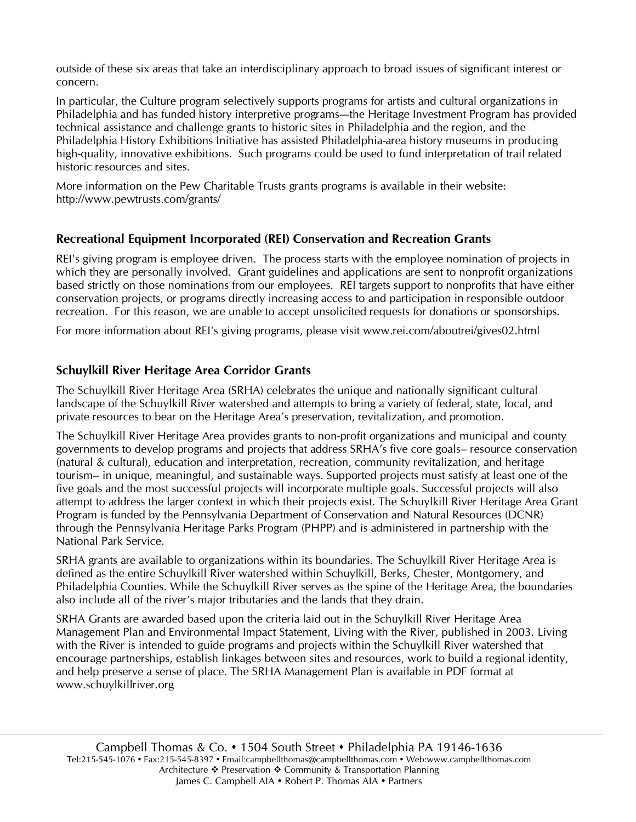outside of these six areas that take an interdisciplinary approach to broad issues of significant interest or concern.

In particular, the Culture program selectively supports programs for artists and cultural organizations in Philadelphia and has funded history interpretive programs—the Heritage Investment Program has provided technical assistance and challenge grants to historic sites in Philadelphia and the region, and the Philadelphia History Exhibitions Initiative has assisted Philadelphia-area history museums in producing high-quality, innovative exhibitions. Such programs could be used to fund interpretation of trail related historic resources and sites.

More information on the Pew Charitable Trusts grants programs is available in their website: http://www.pewtrusts.com/grants/

## **Recreational Equipment Incorporated (REI) Conservation and Recreation Grants**

REI's giving program is employee driven. The process starts with the employee nomination of projects in which they are personally involved. Grant guidelines and applications are sent to nonprofit organizations based strictly on those nominations from our employees. REI targets support to nonprofits that have either conservation projects, or programs directly increasing access to and participation in responsible outdoor recreation. For this reason, we are unable to accept unsolicited requests for donations or sponsorships.

For more information about REI's giving programs, please visit www.rei.com/aboutrei/gives02.html

## **Schuylkill River Heritage Area Corridor Grants**

The Schuylkill River Heritage Area (SRHA) celebrates the unique and nationally significant cultural landscape of the Schuylkill River watershed and attempts to bring a variety of federal, state, local, and private resources to bear on the Heritage Area's preservation, revitalization, and promotion.

The Schuylkill River Heritage Area provides grants to non-profit organizations and municipal and county governments to develop programs and projects that address SRHA's five core goals– resource conservation (natural & cultural), education and interpretation, recreation, community revitalization, and heritage tourism– in unique, meaningful, and sustainable ways. Supported projects must satisfy at least one of the five goals and the most successful projects will incorporate multiple goals. Successful projects will also attempt to address the larger context in which their projects exist. The Schuylkill River Heritage Area Grant Program is funded by the Pennsylvania Department of Conservation and Natural Resources (DCNR) through the Pennsylvania Heritage Parks Program (PHPP) and is administered in partnership with the National Park Service.

SRHA grants are available to organizations within its boundaries. The Schuylkill River Heritage Area is defined as the entire Schuylkill River watershed within Schuylkill, Berks, Chester, Montgomery, and Philadelphia Counties. While the Schuylkill River serves as the spine of the Heritage Area, the boundaries also include all of the river's major tributaries and the lands that they drain.

SRHA Grants are awarded based upon the criteria laid out in the Schuylkill River Heritage Area Management Plan and Environmental Impact Statement, Living with the River, published in 2003. Living with the River is intended to guide programs and projects within the Schuylkill River watershed that encourage partnerships, establish linkages between sites and resources, work to build a regional identity, and help preserve a sense of place. The SRHA Management Plan is available in PDF format at www.schuylkillriver.org